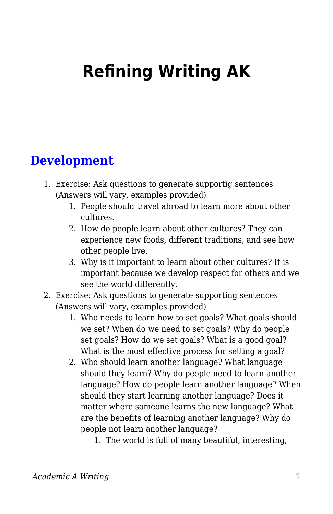# **Refining Writing AK**

## **[Development](https://edtechbooks.org/academic_a_writing/development)**

- 1. Exercise: Ask questions to generate supportig sentences (Answers will vary, examples provided)
	- 1. People should travel abroad to learn more about other cultures.
	- 2. How do people learn about other cultures? They can experience new foods, different traditions, and see how other people live.
	- 3. Why is it important to learn about other cultures? It is important because we develop respect for others and we see the world differently.
- 2. Exercise: Ask questions to generate supporting sentences (Answers will vary, examples provided)
	- 1. Who needs to learn how to set goals? What goals should we set? When do we need to set goals? Why do people set goals? How do we set goals? What is a good goal? What is the most effective process for setting a goal?
	- 2. Who should learn another language? What language should they learn? Why do people need to learn another language? How do people learn another language? When should they start learning another language? Does it matter where someone learns the new language? What are the benefits of learning another language? Why do people not learn another language?
		- 1. The world is full of many beautiful, interesting,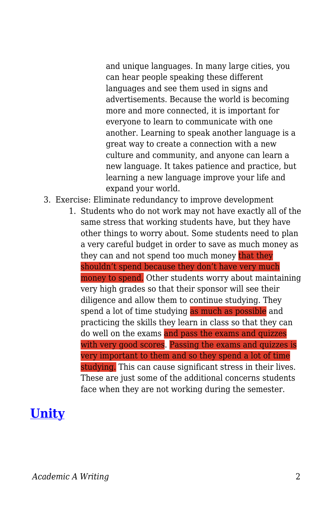and unique languages. In many large cities, you can hear people speaking these different languages and see them used in signs and advertisements. Because the world is becoming more and more connected, it is important for everyone to learn to communicate with one another. Learning to speak another language is a great way to create a connection with a new culture and community, and anyone can learn a new language. It takes patience and practice, but learning a new language improve your life and expand your world.

- 3. Exercise: Eliminate redundancy to improve development
	- 1. Students who do not work may not have exactly all of the same stress that working students have, but they have other things to worry about. Some students need to plan a very careful budget in order to save as much money as they can and not spend too much money that they shouldn't spend because they don't have very much money to spend. Other students worry about maintaining very high grades so that their sponsor will see their diligence and allow them to continue studying. They spend a lot of time studying as much as possible and practicing the skills they learn in class so that they can do well on the exams and pass the exams and quizzes with very good scores. Passing the exams and quizzes is very important to them and so they spend a lot of time studying. This can cause significant stress in their lives. These are just some of the additional concerns students face when they are not working during the semester.

# **[Unity](https://edtechbooks.org/academic_a_writing/unity)**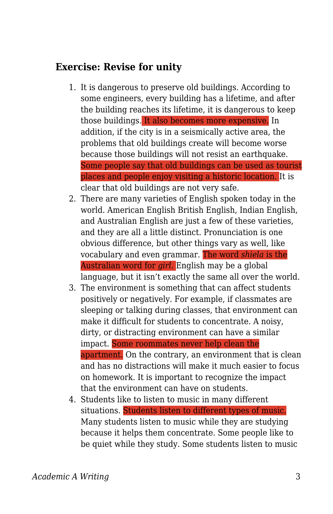#### **Exercise: Revise for unity**

- 1. It is dangerous to preserve old buildings. According to some engineers, every building has a lifetime, and after the building reaches its lifetime, it is dangerous to keep those buildings. It also becomes more expensive. In addition, if the city is in a seismically active area, the problems that old buildings create will become worse because those buildings will not resist an earthquake. Some people say that old buildings can be used as tourist places and people enjoy visiting a historic location. It is clear that old buildings are not very safe.
- 2. There are many varieties of English spoken today in the world. American English British English, Indian English, and Australian English are just a few of these varieties, and they are all a little distinct. Pronunciation is one obvious difference, but other things vary as well, like vocabulary and even grammar. The word *shiela* is the Australian word for *girl*. English may be a global language, but it isn't exactly the same all over the world.
- 3. The environment is something that can affect students positively or negatively. For example, if classmates are sleeping or talking during classes, that environment can make it difficult for students to concentrate. A noisy, dirty, or distracting environment can have a similar impact. Some roommates never help clean the apartment. On the contrary, an environment that is clean and has no distractions will make it much easier to focus on homework. It is important to recognize the impact that the environment can have on students.
- 4. Students like to listen to music in many different situations. Students listen to different types of music. Many students listen to music while they are studying because it helps them concentrate. Some people like to be quiet while they study. Some students listen to music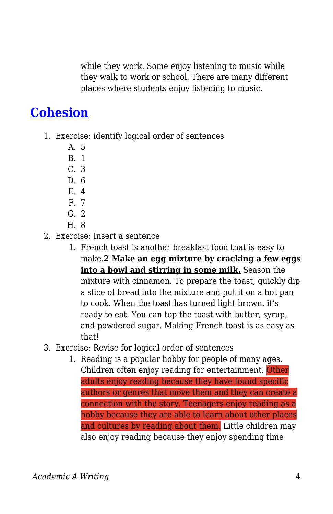while they work. Some enjoy listening to music while they walk to work or school. There are many different places where students enjoy listening to music.

## **[Cohesion](https://edtechbooks.org/academic_a_writing/cohesion)**

- 1. Exercise: identify logical order of sentences
	- A. 5
	- B. 1
	- C. 3
	- D. 6
	- E. 4
	- F. 7
	- G. 2
	- H. 8
- 2. Exercise: Insert a sentence
	- 1. French toast is another breakfast food that is easy to make.**2 Make an egg mixture by cracking a few eggs into a bowl and stirring in some milk.** Season the mixture with cinnamon. To prepare the toast, quickly dip a slice of bread into the mixture and put it on a hot pan to cook. When the toast has turned light brown, it's ready to eat. You can top the toast with butter, syrup, and powdered sugar. Making French toast is as easy as that!
- 3. Exercise: Revise for logical order of sentences
	- 1. Reading is a popular hobby for people of many ages. Children often enjoy reading for entertainment. Other adults enjoy reading because they have found specific authors or genres that move them and they can create a connection with the story. Teenagers enjoy reading as a hobby because they are able to learn about other places and cultures by reading about them. Little children may also enjoy reading because they enjoy spending time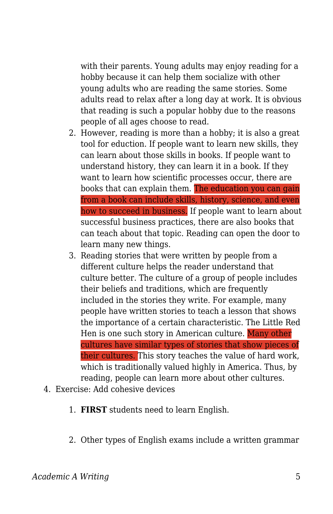with their parents. Young adults may enjoy reading for a hobby because it can help them socialize with other young adults who are reading the same stories. Some adults read to relax after a long day at work. It is obvious that reading is such a popular hobby due to the reasons people of all ages choose to read.

- 2. However, reading is more than a hobby; it is also a great tool for eduction. If people want to learn new skills, they can learn about those skills in books. If people want to understand history, they can learn it in a book. If they want to learn how scientific processes occur, there are books that can explain them. The education you can gain from a book can include skills, history, science, and even how to succeed in business. If people want to learn about successful business practices, there are also books that can teach about that topic. Reading can open the door to learn many new things.
- 3. Reading stories that were written by people from a different culture helps the reader understand that culture better. The culture of a group of people includes their beliefs and traditions, which are frequently included in the stories they write. For example, many people have written stories to teach a lesson that shows the importance of a certain characteristic. The Little Red Hen is one such story in American culture. Many other cultures have similar types of stories that show pieces of their cultures. This story teaches the value of hard work, which is traditionally valued highly in America. Thus, by reading, people can learn more about other cultures.
- 4. Exercise: Add cohesive devices
	- 1. **FIRST** students need to learn English.
	- 2. Other types of English exams include a written grammar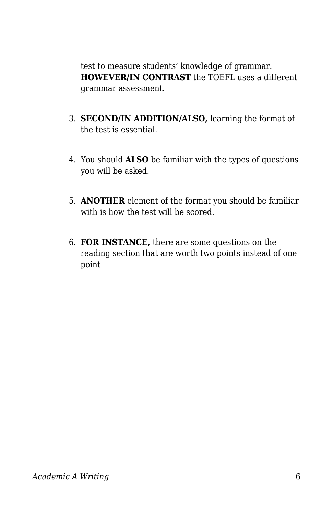test to measure students' knowledge of grammar. **HOWEVER/IN CONTRAST** the TOEFL uses a different grammar assessment.

- 3. **SECOND/IN ADDITION/ALSO,** learning the format of the test is essential.
- 4. You should **ALSO** be familiar with the types of questions you will be asked.
- 5. **ANOTHER** element of the format you should be familiar with is how the test will be scored.
- 6. **FOR INSTANCE,** there are some questions on the reading section that are worth two points instead of one point